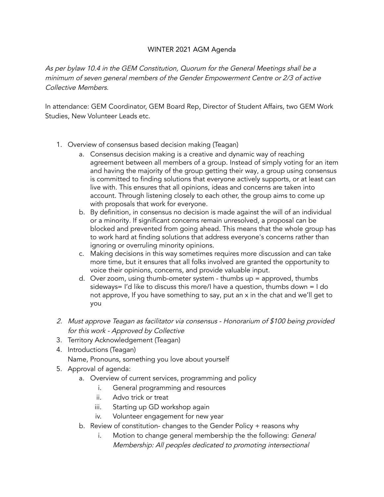## WINTER 2021 AGM Agenda

As per bylaw 10.4 in the GEM Constitution, Quorum for the General Meetings shall be <sup>a</sup> minimum of seven general members of the Gender Empowerment Centre or 2/3 of active Collective Members.

In attendance: GEM Coordinator, GEM Board Rep, Director of Student Affairs, two GEM Work Studies, New Volunteer Leads etc.

- 1. Overview of consensus based decision making (Teagan)
	- a. Consensus decision making is a creative and dynamic way of reaching agreement between all members of a group. Instead of simply voting for an item and having the majority of the group getting their way, a group using consensus is committed to finding solutions that everyone actively supports, or at least can live with. This ensures that all opinions, ideas and concerns are taken into account. Through listening closely to each other, the group aims to come up with proposals that work for everyone.
	- b. By definition, in consensus no decision is made against the will of an individual or a minority. If significant concerns remain unresolved, a proposal can be blocked and prevented from going ahead. This means that the whole group has to work hard at finding solutions that address everyone's concerns rather than ignoring or overruling minority opinions.
	- c. Making decisions in this way sometimes requires more discussion and can take more time, but it ensures that all folks involved are granted the opportunity to voice their opinions, concerns, and provide valuable input.
	- d. Over zoom, using thumb-ometer system thumbs up = approved, thumbs sideways= I'd like to discuss this more/I have a question, thumbs down = I do not approve, If you have something to say, put an x in the chat and we'll get to you
- 2. Must approve Teagan as facilitator via consensus Honorarium of \$100 being provided for this work - Approved by Collective
- 3. Territory Acknowledgement (Teagan)
- 4. Introductions (Teagan) Name, Pronouns, something you love about yourself
- 5. Approval of agenda:
	- a. Overview of current services, programming and policy
		- i. General programming and resources
		- ii. Advo trick or treat
		- iii. Starting up GD workshop again
		- iv. Volunteer engagement for new year
	- b. Review of constitution- changes to the Gender Policy + reasons why
		- i. Motion to change general membership the the following: General Membership: All peoples dedicated to promoting intersectional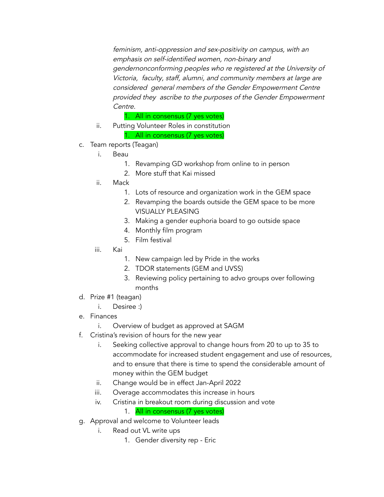feminism, anti-oppression and sex-positivity on campus, with an emphasis on self-identified women, non-binary and gendernonconforming peoples who re registered at the University of Victoria, faculty, staff, alumni, and community members at large are considered general members of the Gender Empowerment Centre provided they ascribe to the purposes of the Gender Empowerment Centre.

1. All in consensus (7 yes votes)

- ii. Putting Volunteer Roles in constitution 1. All in consensus (7 yes votes)
- c. Team reports (Teagan)
	- i. Beau
		- 1. Revamping GD workshop from online to in person
		- 2. More stuff that Kai missed
	- ii. Mack
		- 1. Lots of resource and organization work in the GEM space
		- 2. Revamping the boards outside the GEM space to be more VISUALLY PLEASING
		- 3. Making a gender euphoria board to go outside space
		- 4. Monthly film program
		- 5. Film festival
	- iii. Kai
		- 1. New campaign led by Pride in the works
		- 2. TDOR statements (GEM and UVSS)
		- 3. Reviewing policy pertaining to advo groups over following months
- d. Prize #1 (teagan)
	- i. Desiree :)
- e. Finances
	- i. Overview of budget as approved at SAGM
- f. Cristina's revision of hours for the new year
	- i. Seeking collective approval to change hours from 20 to up to 35 to accommodate for increased student engagement and use of resources, and to ensure that there is time to spend the considerable amount of money within the GEM budget
	- ii. Change would be in effect Jan-April 2022
	- iii. Overage accommodates this increase in hours
	- iv. Cristina in breakout room during discussion and vote

## 1. All in consensus (7 yes votes)

- g. Approval and welcome to Volunteer leads
	- i. Read out VL write ups
		- 1. Gender diversity rep Eric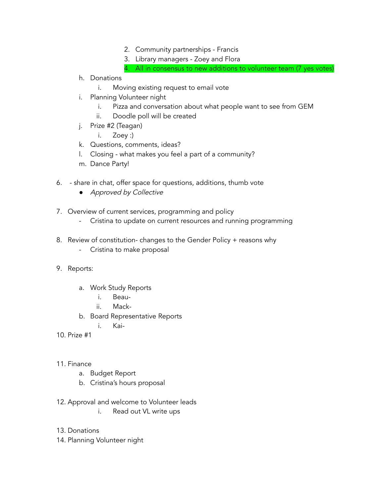- 2. Community partnerships Francis
- 3. Library managers Zoey and Flora
- 4. All in consensus to new additions to volunteer team (7 yes votes)
- h. Donations
	- i. Moving existing request to email vote
- i. Planning Volunteer night
	- i. Pizza and conversation about what people want to see from GEM
	- ii. Doodle poll will be created
- j. Prize #2 (Teagan)
	- i. Zoey :)
- k. Questions, comments, ideas?
- l. Closing what makes you feel a part of a community?
- m. Dance Party!
- 6. share in chat, offer space for questions, additions, thumb vote
	- *●* Approved by Collective
- 7. Overview of current services, programming and policy
	- Cristina to update on current resources and running programming
- 8. Review of constitution- changes to the Gender Policy + reasons why
	- Cristina to make proposal
- 9. Reports:
	- a. Work Study Reports
		- i. Beau-
		- ii. Mack-
	- b. Board Representative Reports
		- i. Kai-
- 10. Prize #1
- 11. Finance
	- a. Budget Report
	- b. Cristina's hours proposal
- 12. Approval and welcome to Volunteer leads
	- i. Read out VL write ups
- 13. Donations
- 14. Planning Volunteer night